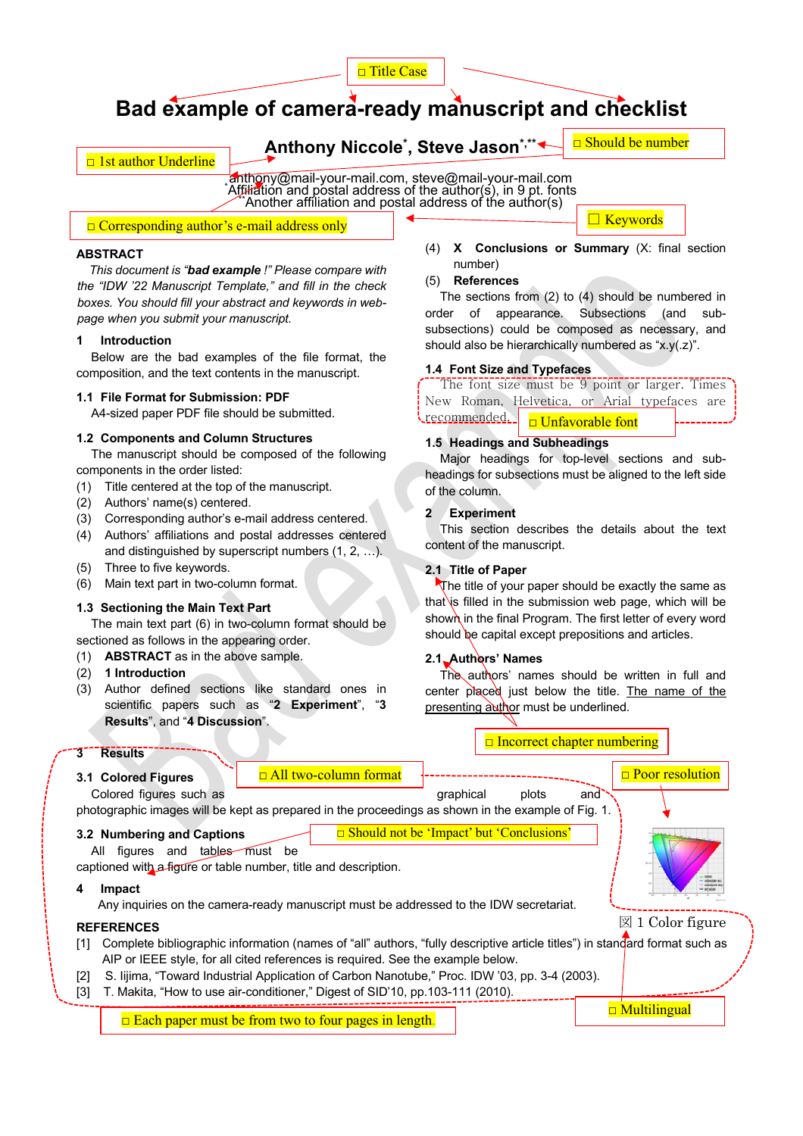

# **Bad example of camera-ready manuscript and checklist**

**Anthony Niccole\* , Steve Jason\*,\*\***

 $\Box$  Should be number

□ Keywords

# anthony@mail-your-mail.com, steve@mail-your-mail.com<br>\*Affiliation and postal address of the author(s), in 9 nt, font Affiliation and postal address of the author(s), in 9 pt. fonts<br>\*\*Another affiliation and postal address of the author(s)

□ Corresponding author's e-mail address only

### **ABSTRACT**

□ 1st author Underline

*This document is "bad example !" Please compare with the "IDW '22 Manuscript Template," and fill in the check boxes. You should fill your abstract and keywords in webpage when you submit your manuscript.*

#### **1 Introduction**

Below are the bad examples of the file format, the composition, and the text contents in the manuscript.

#### **1.1 File Format for Submission: PDF**

A4-sized paper PDF file should be submitted.

#### **1.2 Components and Column Structures**

The manuscript should be composed of the following components in the order listed:

- (1) Title centered at the top of the manuscript.
- (2) Authors' name(s) centered.
- (3) Corresponding author's e-mail address centered.
- (4) Authors' affiliations and postal addresses centered and distinguished by superscript numbers (1, 2, …).
- (5) Three to five keywords.
- (6) Main text part in two-column format.

# **1.3 Sectioning the Main Text Part**

The main text part (6) in two-column format should be sectioned as follows in the appearing order.

- (1) **ABSTRACT** as in the above sample.
- (2) **1 Introduction**
- (3) Author defined sections like standard ones in scientific papers such as "**2 Experiment**", "**3 Results**", and "**4 Discussion**".

#### (4) **X Conclusions or Summary** (X: final section number)

#### (5) **References**

The sections from (2) to (4) should be numbered in order of appearance. Subsections (and subsubsections) could be composed as necessary, and should also be hierarchically numbered as "x.y(.z)".

#### **1.4 Font Size and Typefaces**

The font size must be 9 point or larger. Times New Roman, Helvetica, or Arial typefaces are <u>recommended.</u> □ Unfavorable font

# **1.5 Headings and Subheadings**

Major headings for top-level sections and subheadings for subsections must be aligned to the left side of the column.

#### **2 Experiment**

This section describes the details about the text content of the manuscript.

# **2.1 Title of Paper**

The title of your paper should be exactly the same as that is filled in the submission web page, which will be shown in the final Program. The first letter of every word should be capital except prepositions and articles.

# **2.1 Authors' Names**

The authors' names should be written in full and center placed just below the title. The name of the presenting author must be underlined.

 $\overline{a}$  incorrect chapter numbering numbering  $\overline{a}$ 

| 3<br><b>Results</b>                                                                                                                                                                                                                                                           |                                                                                                                                    | <u>le incorrect chapter numbering</u>               |  |
|-------------------------------------------------------------------------------------------------------------------------------------------------------------------------------------------------------------------------------------------------------------------------------|------------------------------------------------------------------------------------------------------------------------------------|-----------------------------------------------------|--|
| 3.1 Colored Figures<br>Colored figures such as                                                                                                                                                                                                                                | <b>All two-column format</b><br>photographic images will be kept as prepared in the proceedings as shown in the example of Fig. 1. | <b>Poor resolution</b><br>graphical<br>plots<br>and |  |
| <b>Should not be 'Impact' but 'Conclusions'</b><br>3.2 Numbering and Captions<br>All figures and tables must be<br>captioned with a figure or table number, title and description.                                                                                            |                                                                                                                                    |                                                     |  |
| 4<br>Impact                                                                                                                                                                                                                                                                   | Any inquiries on the camera-ready manuscript must be addressed to the IDW secretariat.                                             |                                                     |  |
| <b>REFERENCES</b>                                                                                                                                                                                                                                                             |                                                                                                                                    | $\boxtimes$ 1 Color figure                          |  |
| Complete bibliographic information (names of "all" authors, "fully descriptive article titles") in standard format such as<br>[1]<br>AIP or IEEE style, for all cited references is required. See the example below.                                                          |                                                                                                                                    |                                                     |  |
| [2]                                                                                                                                                                                                                                                                           |                                                                                                                                    |                                                     |  |
|                                                                                                                                                                                                                                                                               |                                                                                                                                    |                                                     |  |
| S. lijima, "Toward Industrial Application of Carbon Nanotube," Proc. IDW '03, pp. 3-4 (2003).<br>T. Makita, "How to use air-conditioner," Digest of SID'10, pp.103-111 (2010).<br>$[3]$<br><b>Multilingual</b><br>$\Box$ Each paper must be from two to four pages in length. |                                                                                                                                    |                                                     |  |